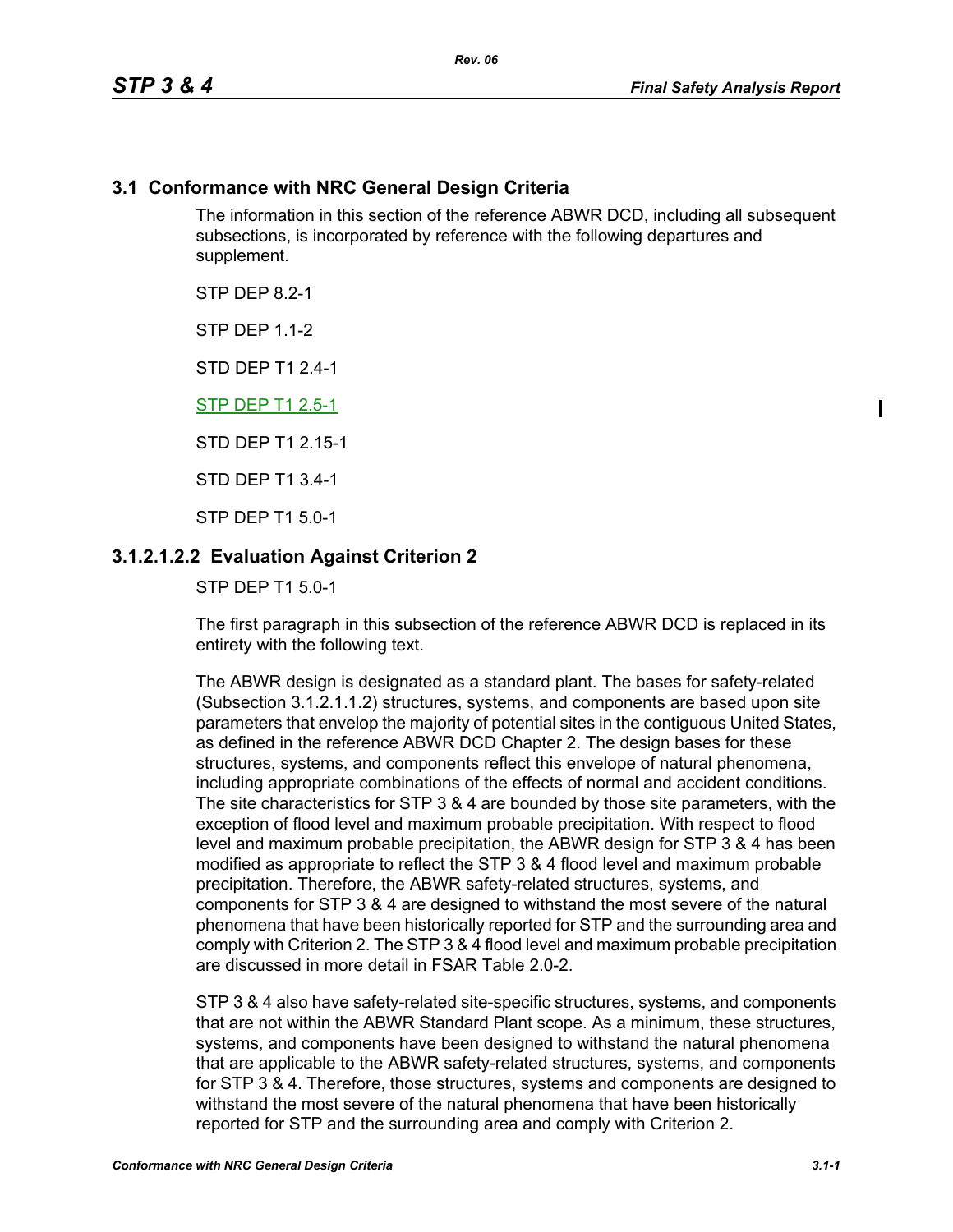### **3.1 Conformance with NRC General Design Criteria**

The information in this section of the reference ABWR DCD, including all subsequent subsections, is incorporated by reference with the following departures and supplement.

STP DFP 82-1

**STP DFP 1 1-2** 

STD DEP T1 2.4-1

STP DEP T1 2.5-1

STD DEP T1 2.15-1

STD DEP T1 3.4-1

STP DEP T1 5.0-1

### **3.1.2.1.2.2 Evaluation Against Criterion 2**

STP DEP T1 5.0-1

The first paragraph in this subsection of the reference ABWR DCD is replaced in its entirety with the following text.

The ABWR design is designated as a standard plant. The bases for safety-related (Subsection 3.1.2.1.1.2) structures, systems, and components are based upon site parameters that envelop the majority of potential sites in the contiguous United States, as defined in the reference ABWR DCD Chapter 2. The design bases for these structures, systems, and components reflect this envelope of natural phenomena, including appropriate combinations of the effects of normal and accident conditions. The site characteristics for STP 3 & 4 are bounded by those site parameters, with the exception of flood level and maximum probable precipitation. With respect to flood level and maximum probable precipitation, the ABWR design for STP 3 & 4 has been modified as appropriate to reflect the STP 3 & 4 flood level and maximum probable precipitation. Therefore, the ABWR safety-related structures, systems, and components for STP 3 & 4 are designed to withstand the most severe of the natural phenomena that have been historically reported for STP and the surrounding area and comply with Criterion 2. The STP 3 & 4 flood level and maximum probable precipitation are discussed in more detail in FSAR Table 2.0-2.

STP 3 & 4 also have safety-related site-specific structures, systems, and components that are not within the ABWR Standard Plant scope. As a minimum, these structures, systems, and components have been designed to withstand the natural phenomena that are applicable to the ABWR safety-related structures, systems, and components for STP 3 & 4. Therefore, those structures, systems and components are designed to withstand the most severe of the natural phenomena that have been historically reported for STP and the surrounding area and comply with Criterion 2.

 $\mathbf I$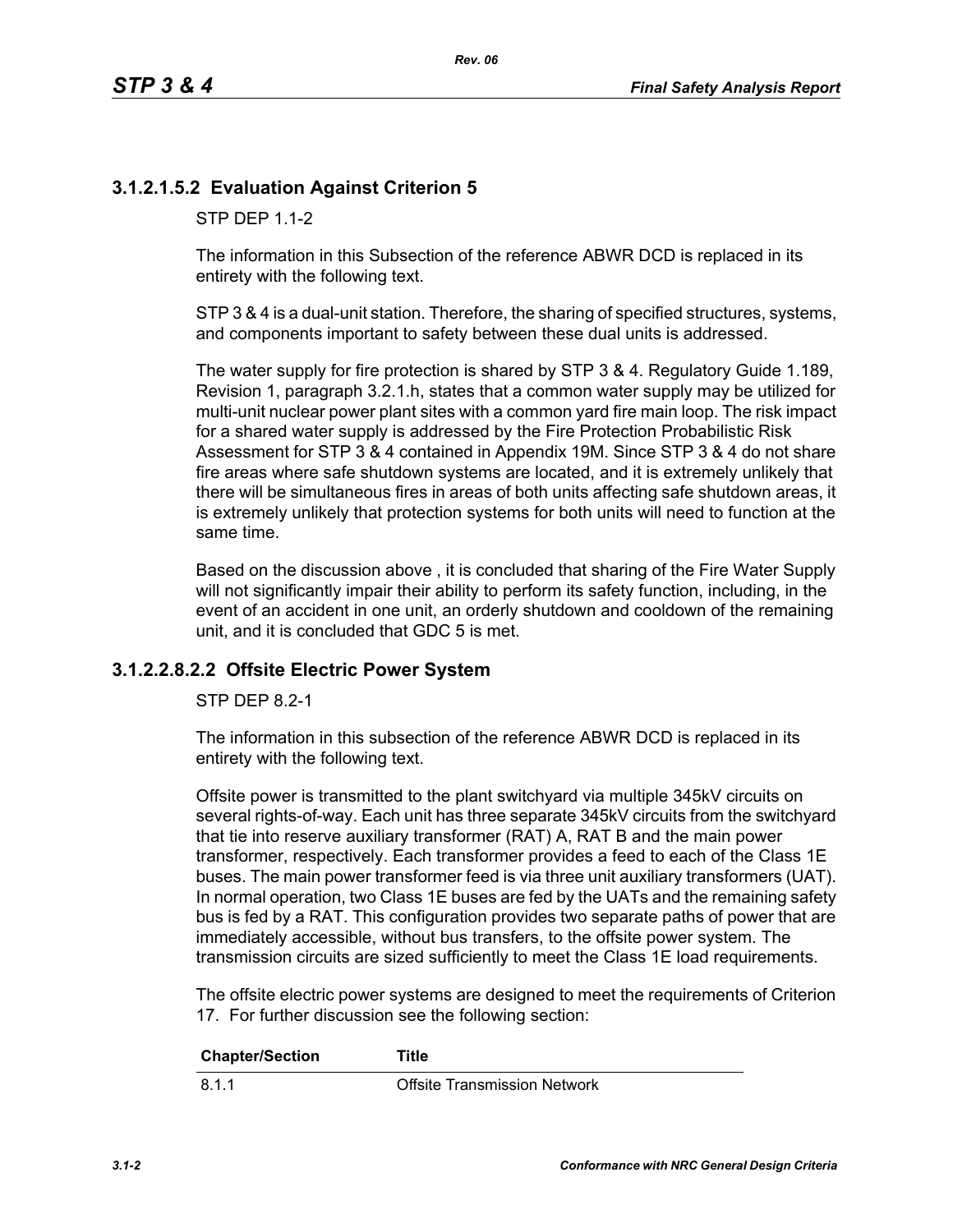## **3.1.2.1.5.2 Evaluation Against Criterion 5**

STP DFP 1 1-2

The information in this Subsection of the reference ABWR DCD is replaced in its entirety with the following text.

STP 3 & 4 is a dual-unit station. Therefore, the sharing of specified structures, systems, and components important to safety between these dual units is addressed.

The water supply for fire protection is shared by STP 3 & 4. Regulatory Guide 1.189, Revision 1, paragraph 3.2.1.h, states that a common water supply may be utilized for multi-unit nuclear power plant sites with a common yard fire main loop. The risk impact for a shared water supply is addressed by the Fire Protection Probabilistic Risk Assessment for STP 3 & 4 contained in Appendix 19M. Since STP 3 & 4 do not share fire areas where safe shutdown systems are located, and it is extremely unlikely that there will be simultaneous fires in areas of both units affecting safe shutdown areas, it is extremely unlikely that protection systems for both units will need to function at the same time.

Based on the discussion above , it is concluded that sharing of the Fire Water Supply will not significantly impair their ability to perform its safety function, including, in the event of an accident in one unit, an orderly shutdown and cooldown of the remaining unit, and it is concluded that GDC 5 is met.

#### **3.1.2.2.8.2.2 Offsite Electric Power System**

STP DEP 8.2-1

The information in this subsection of the reference ABWR DCD is replaced in its entirety with the following text.

Offsite power is transmitted to the plant switchyard via multiple 345kV circuits on several rights-of-way. Each unit has three separate 345kV circuits from the switchyard that tie into reserve auxiliary transformer (RAT) A, RAT B and the main power transformer, respectively. Each transformer provides a feed to each of the Class 1E buses. The main power transformer feed is via three unit auxiliary transformers (UAT). In normal operation, two Class 1E buses are fed by the UATs and the remaining safety bus is fed by a RAT. This configuration provides two separate paths of power that are immediately accessible, without bus transfers, to the offsite power system. The transmission circuits are sized sufficiently to meet the Class 1E load requirements.

The offsite electric power systems are designed to meet the requirements of Criterion 17. For further discussion see the following section:

| <b>Chapter/Section</b> | Title                               |
|------------------------|-------------------------------------|
| 8.1.1                  | <b>Offsite Transmission Network</b> |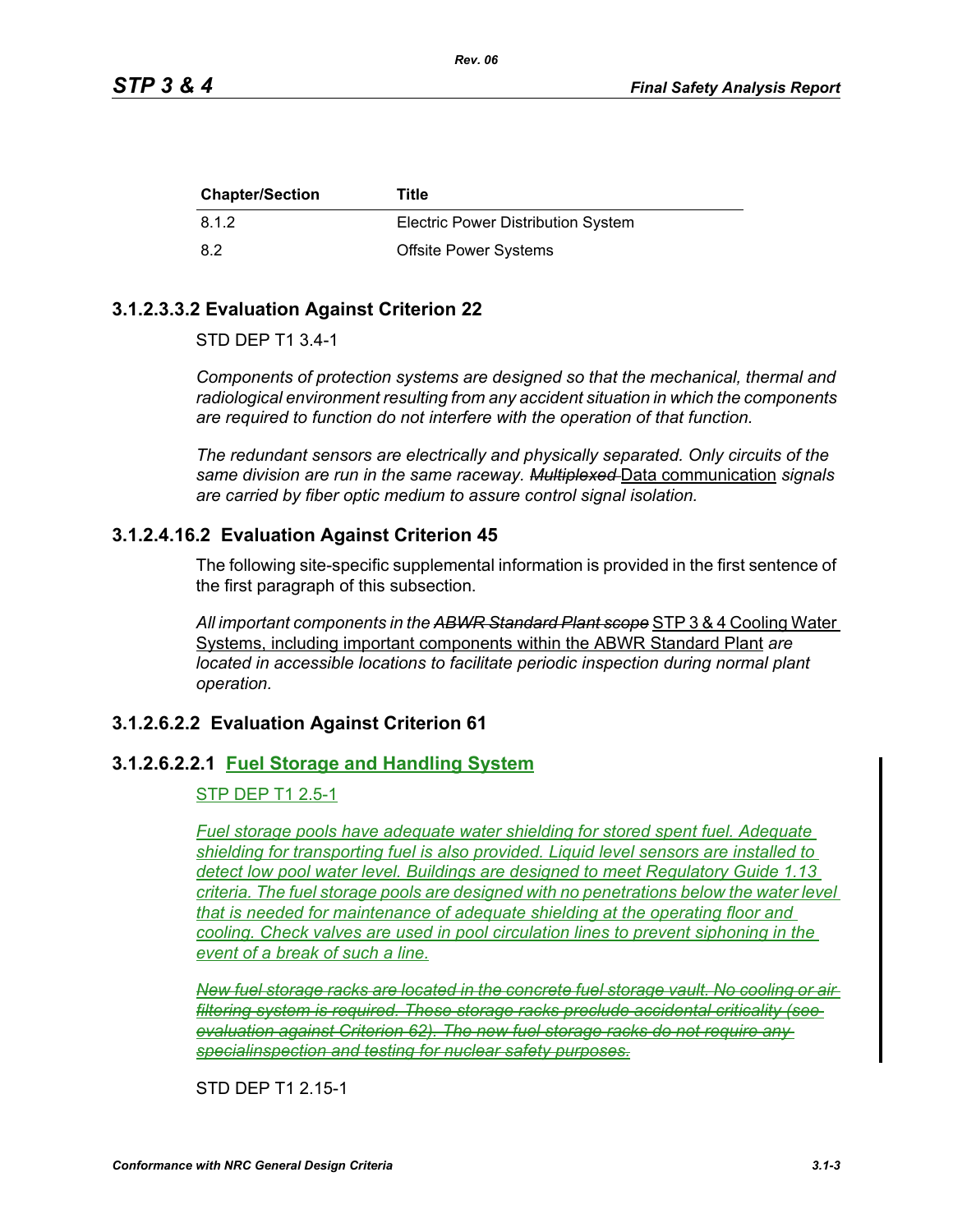| <b>Chapter/Section</b> | Title                                     |
|------------------------|-------------------------------------------|
| 8.1.2                  | <b>Electric Power Distribution System</b> |
| -8.2                   | <b>Offsite Power Systems</b>              |

### **3.1.2.3.3.2 Evaluation Against Criterion 22**

STD DEP T1 3.4-1

*Components of protection systems are designed so that the mechanical, thermal and radiological environment resulting from any accident situation in which the components are required to function do not interfere with the operation of that function.* 

*The redundant sensors are electrically and physically separated. Only circuits of the same division are run in the same raceway. Multiplexed* Data communication *signals are carried by fiber optic medium to assure control signal isolation.*

### **3.1.2.4.16.2 Evaluation Against Criterion 45**

The following site-specific supplemental information is provided in the first sentence of the first paragraph of this subsection.

*All important components in the ABWR Standard Plant scope* STP 3 & 4 Cooling Water Systems, including important components within the ABWR Standard Plant *are located in accessible locations to facilitate periodic inspection during normal plant operation.*

### **3.1.2.6.2.2 Evaluation Against Criterion 61**

### **3.1.2.6.2.2.1 Fuel Storage and Handling System**

#### STP DEP T1 2.5-1

*Fuel storage pools have adequate water shielding for stored spent fuel. Adequate shielding for transporting fuel is also provided. Liquid level sensors are installed to detect low pool water level. Buildings are designed to meet Regulatory Guide 1.13 criteria. The fuel storage pools are designed with no penetrations below the water level that is needed for maintenance of adequate shielding at the operating floor and cooling. Check valves are used in pool circulation lines to prevent siphoning in the event of a break of such a line.*

*New fuel storage racks are located in the concrete fuel storage vault. No cooling or air filtering system is required. These storage racks preclude accidental criticality (see evaluation against Criterion 62). The new fuel storage racks do not require any specialinspection and testing for nuclear safety purposes.*

STD DEP T1 2.15-1